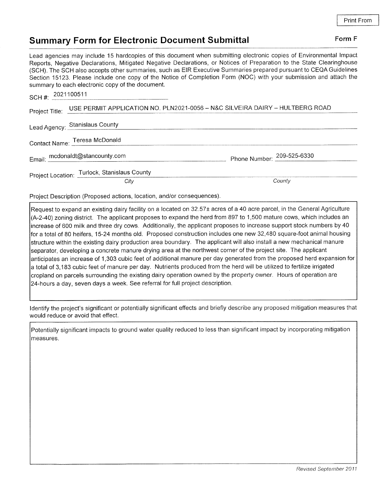## **Summary Form for Electronic Document Submittal** *Form F*

Lead agencies may include 15 hardcopies of this document when submitting electronic copies of Environmental Impact Reports, Negative Declarations, Mitigated Negative Declarations, or Notices of Preparation to the State Clearinghouse (SCH). The SCH also accepts other summaries, such as EIR Executive Summaries prepared pursuant to CEQA Guidelines Section 15123. Please include one copy of the Notice of Completion Form (NOC) with your submission and attach the summary to each electronic copy of the document.

|                                 | SCH #: 2021100511                                                                           |                            |  |
|---------------------------------|---------------------------------------------------------------------------------------------|----------------------------|--|
|                                 | Project Title: USE PERMIT APPLICATION NO. PLN2021-0056 - N&C SILVEIRA DAIRY - HULTBERG ROAD |                            |  |
|                                 | Lead Agency: Stanislaus County entries and Agency: Stanislaus County                        |                            |  |
|                                 | Contact Name: Teresa McDonald                                                               |                            |  |
| Email: mcdonaldt@stancounty.com |                                                                                             | Phone Number: 209-525-6330 |  |
|                                 | Project Location: Turlock, Stanislaus County                                                |                            |  |
|                                 | City                                                                                        | County                     |  |

Project Description (Proposed actions, location, and/or consequences).

Request to expand an existing dairy facility on a located on 32.57± acres of a 40 acre parcel, in the General Agriculture (A-2-40) zoning district. The applicant proposes to expand the herd from 897 to 1,500 mature cows, which includes an increase of 600 milk and three dry cows. Additionally, the applicant proposes to increase support stock numbers by 40 for a total of 80 heifers, 15-24 months old. Proposed construction includes one new 32,480 square-foot animal housing structure within the existing dairy production area boundary. The applicant will also install a new mechanical manure separator, developing a concrete manure drying area at the northwest corner of the project site. The applicant anticipates an increase of 1,303 cubic feet of additional manure per day generated from the proposed herd expansion for a total of 3,183 cubic feet of manure per day. Nutrients produced from the herd will be utilized to fertilize irrigated cropland on parcels surrounding the existing dairy operation owned by the property owner. Hours of operation are 24-hours a day, seven days a week. See referral for full project description.

Identify the project's significant or potentially significant effects and briefly describe any proposed mitigation measures that would reduce or avoid that effect.

Potentially significant impacts to ground water quality reduced to less than significant impact by incorporating mitigation measures.